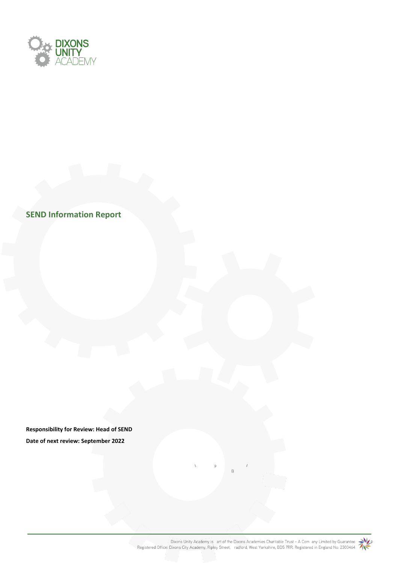

**SEND Information Report** 

**Responsibility for Review: Head of SEND Date of next review: September 2022**

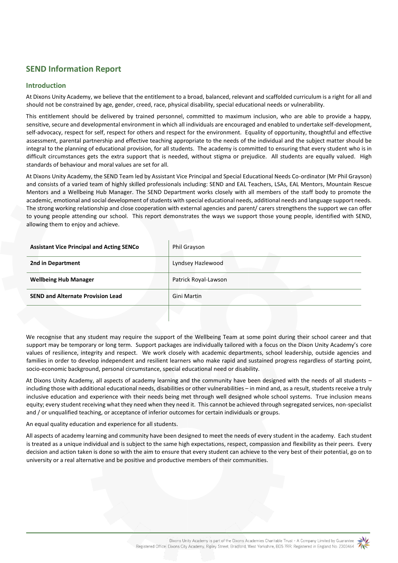# **SEND Information Report**

## **Introduction**

At Dixons Unity Academy, we believe that the entitlement to a broad, balanced, relevant and scaffolded curriculum is a right for all and should not be constrained by age, gender, creed, race, physical disability, special educational needs or vulnerability.

This entitlement should be delivered by trained personnel, committed to maximum inclusion, who are able to provide a happy, sensitive, secure and developmental environment in which all individuals are encouraged and enabled to undertake self-development, self-advocacy, respect for self, respect for others and respect for the environment. Equality of opportunity, thoughtful and effective assessment, parental partnership and effective teaching appropriate to the needs of the individual and the subject matter should be integral to the planning of educational provision, for all students. The academy is committed to ensuring that every student who is in difficult circumstances gets the extra support that is needed, without stigma or prejudice. All students are equally valued. High standards of behaviour and moral values are set for all.

At Dixons Unity Academy, the SEND Team led by Assistant Vice Principal and Special Educational Needs Co-ordinator (Mr Phil Grayson) and consists of a varied team of highly skilled professionals including: SEND and EAL Teachers, LSAs, EAL Mentors, Mountain Rescue Mentors and a Wellbeing Hub Manager. The SEND Department works closely with all members of the staff body to promote the academic, emotional and social development of students with special educational needs, additional needs and language support needs. The strong working relationship and close cooperation with external agencies and parent/ carers strengthens the support we can offer to young people attending our school. This report demonstrates the ways we support those young people, identified with SEND, allowing them to enjoy and achieve.

| <b>Assistant Vice Principal and Acting SENCo</b> | Phil Grayson         |
|--------------------------------------------------|----------------------|
| 2nd in Department                                | Lyndsey Hazlewood    |
| <b>Wellbeing Hub Manager</b>                     | Patrick Royal-Lawson |
| <b>SEND and Alternate Provision Lead</b>         | Gini Martin          |
|                                                  |                      |

We recognise that any student may require the support of the Wellbeing Team at some point during their school career and that support may be temporary or long term. Support packages are individually tailored with a focus on the Dixon Unity Academy's core values of resilience, integrity and respect. We work closely with academic departments, school leadership, outside agencies and families in order to develop independent and resilient learners who make rapid and sustained progress regardless of starting point, socio-economic background, personal circumstance, special educational need or disability.

At Dixons Unity Academy, all aspects of academy learning and the community have been designed with the needs of all students – including those with additional educational needs, disabilities or other vulnerabilities – in mind and, as a result, students receive a truly inclusive education and experience with their needs being met through well designed whole school systems. True inclusion means equity; every student receiving what they need when they need it. This cannot be achieved through segregated services, non-specialist and / or unqualified teaching, or acceptance of inferior outcomes for certain individuals or groups.

An equal quality education and experience for all students.

All aspects of academy learning and community have been designed to meet the needs of every student in the academy. Each student is treated as a unique individual and is subject to the same high expectations, respect, compassion and flexibility as their peers. Every decision and action taken is done so with the aim to ensure that every student can achieve to the very best of their potential, go on to university or a real alternative and be positive and productive members of their communities.

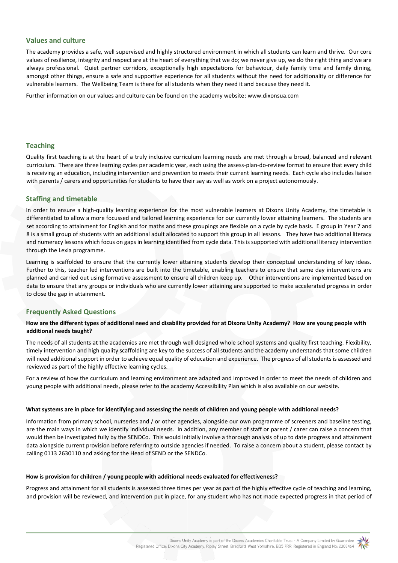# **Values and culture**

The academy provides a safe, well supervised and highly structured environment in which all students can learn and thrive. Our core values of resilience, integrity and respect are at the heart of everything that we do; we never give up, we do the right thing and we are always professional. Quiet partner corridors, exceptionally high expectations for behaviour, daily family time and family dining, amongst other things, ensure a safe and supportive experience for all students without the need for additionality or difference for vulnerable learners. The Wellbeing Team is there for all students when they need it and because they need it.

Further information on our values and culture can be found on the academy websit[e: www.dixonsua.com](http://www.dixonsua.com/)

# **Teaching**

Quality first teaching is at the heart of a truly inclusive curriculum learning needs are met through a broad, balanced and relevant curriculum. There are three learning cycles per academic year, each using the assess-plan-do-review format to ensure that every child is receiving an education, including intervention and prevention to meets their current learning needs. Each cycle also includes liaison with parents / carers and opportunities for students to have their say as well as work on a project autonomously.

## **Staffing and timetable**

In order to ensure a high-quality learning experience for the most vulnerable learners at Dixons Unity Academy, the timetable is differentiated to allow a more focussed and tailored learning experience for our currently lower attaining learners. The students are set according to attainment for English and for maths and these groupings are flexible on a cycle by cycle basis. E group in Year 7 and 8 is a small group of students with an additional adult allocated to support this group in all lessons. They have two additional literacy and numeracy lessons which focus on gaps in learning identified from cycle data. This is supported with additional literacy intervention through the Lexia programme.

Learning is scaffolded to ensure that the currently lower attaining students develop their conceptual understanding of key ideas. Further to this, teacher led interventions are built into the timetable, enabling teachers to ensure that same day interventions are planned and carried out using formative assessment to ensure all children keep up. Other interventions are implemented based on data to ensure that any groups or individuals who are currently lower attaining are supported to make accelerated progress in order to close the gap in attainment.

# **Frequently Asked Questions**

## **How are the different types of additional need and disability provided for at Dixons Unity Academy? How are young people with additional needs taught?**

The needs of all students at the academies are met through well designed whole school systems and quality first teaching. Flexibility, timely intervention and high quality scaffolding are key to the success of all students and the academy understands that some children will need additional support in order to achieve equal quality of education and experience. The progress of all students is assessed and reviewed as part of the highly effective learning cycles.

For a review of how the curriculum and learning environment are adapted and improved in order to meet the needs of children and young people with additional needs, please refer to the academy Accessibility Plan which is also available on our website.

#### **What systems are in place for identifying and assessing the needs of children and young people with additional needs?**

Information from primary school, nurseries and / or other agencies, alongside our own programme of screeners and baseline testing, are the main ways in which we identify individual needs. In addition, any member of staff or parent / carer can raise a concern that would then be investigated fully by the SENDCo. This would initially involve a thorough analysis of up to date progress and attainment data alongside current provision before referring to outside agencies if needed. To raise a concern about a student, please contact by calling 0113 2630110 and asking for the Head of SEND or the SENDCo.

#### **How is provision for children / young people with additional needs evaluated for effectiveness?**

Progress and attainment for all students is assessed three times per year as part of the highly effective cycle of teaching and learning, and provision will be reviewed, and intervention put in place, for any student who has not made expected progress in that period of

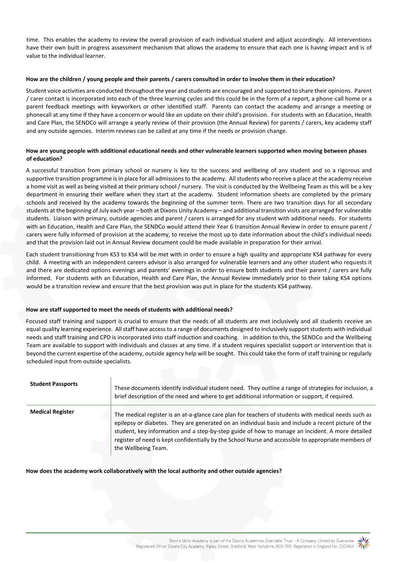time. This enables the academy to review the overall provision of each individual student and adjust accordingly. All interventions have their own built in progress assessment mechanism that allows the academy to ensure that each one is having impact and is of value to the individual learner.

#### **How are the children / young people and their parents / carers consulted in order to involve them in their education?**

Student voice activities are conducted throughout the year and students are encouraged and supported to share their opinions. Parent / carer contact is incorporated into each of the three learning cycles and this could be in the form of a report, a phone-call home or a parent feedback meetings with keyworkers or other identified staff. Parents can contact the academy and arrange a meeting or phonecall at any time if they have a concern or would like an update on their child's provision. For students with an Education, Health and Care Plan, the SENDCo will arrange a yearly review of their provision (the Annual Review) for parents / carers, key academy staff and any outside agencies. Interim reviews can be called at any time if the needs or provision change.

#### **How are young people with additional educational needs and other vulnerable learners supported when moving between phases of education?**

A successful transition from primary school or nursery is key to the success and wellbeing of any student and so a rigorous and supportive transition programme is in place for all admissions to the academy. All students who receive a place at the academy receive a home visit as well as being visited at their primary school / nursery. The visit is conducted by the Wellbeing Team as this will be a key department in ensuring their welfare when they start at the academy. Student information sheets are completed by the primary schools and received by the academy towards the beginning of the summer term. There are two transition days for all secondary students at the beginning of July each year – both at Dixons Unity Academy – and additional transition visits are arranged for vulnerable students. Liaison with primary, outside agencies and parent / carers is arranged for any student with additional needs. For students with an Education, Health and Care Plan, the SENDCo would attend their Year 6 transition Annual Review in order to ensure parent / carers were fully informed of provision at the academy, to receive the most up to date information about the child's individual needs and that the provision laid out in Annual Review document could be made available in preparation for their arrival.

Each student transitioning from KS3 to KS4 will be met with in order to ensure a high quality and appropriate KS4 pathway for every child. A meeting with an independent careers advisor is also arranged for vulnerable learners and any other student who requests it and there are dedicated options evenings and parents' evenings in order to ensure both students and their parent / carers are fully informed. For students with an Education, Health and Care Plan, the Annual Review immediately prior to their taking KS4 options would be a transition review and ensure that the best provision was put in place for the students KS4 pathway.

## **How are staff supported to meet the needs of students with additional needs?**

Focused staff training and support is crucial to ensure that the needs of all students are met inclusively and all students receive an equal quality learning experience. All staff have access to a range of documents designed to inclusively support students with individual needs and staff training and CPD is incorporated into staff induction and coaching. In addition to this, the SENDCo and the Wellbeing Team are available to support with individuals and classes at any time. If a student requires specialist support or intervention that is beyond the current expertise of the academy, outside agency help will be sought. This could take the form of staff training or regularly scheduled input from outside specialists.

| <b>Student Passports</b> | These documents identify individual student need. They outline a range of strategies for inclusion, a<br>brief description of the need and where to get additional information or support, if required.                                                                                                                                                                                                                                       |
|--------------------------|-----------------------------------------------------------------------------------------------------------------------------------------------------------------------------------------------------------------------------------------------------------------------------------------------------------------------------------------------------------------------------------------------------------------------------------------------|
| <b>Medical Register</b>  | The medical register is an at-a-glance care plan for teachers of students with medical needs such as<br>epilepsy or diabetes. They are generated on an individual basis and include a recent picture of the<br>student, key information and a step-by-step guide of how to manage an incident. A more detailed<br>register of need is kept confidentially by the School Nurse and accessible to appropriate members of<br>the Wellbeing Team. |

#### **How does the academy work collaboratively with the local authority and other outside agencies?**

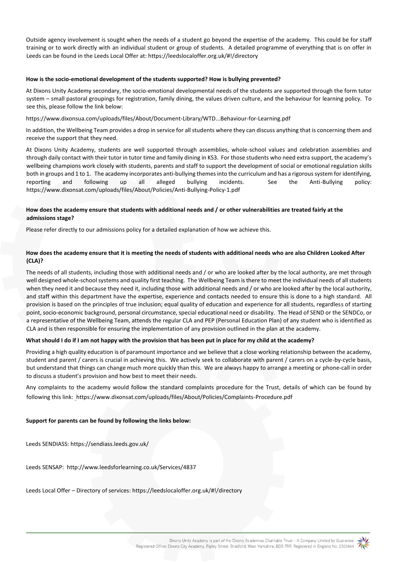Outside agency involvement is sought when the needs of a student go beyond the expertise of the academy. This could be for staff training or to work directly with an individual student or group of students. A detailed programme of everything that is on offer in Leeds can be found in the Leeds Local Offer at: https://leedslocaloffer.org.uk/#!/directory

#### **How is the socio-emotional development of the students supported? How is bullying prevented?**

At Dixons Unity Academy secondary, the socio-emotional developmental needs of the students are supported through the form tutor system – small pastoral groupings for registration, family dining, the values driven culture, and the behaviour for learning policy. To see this, please follow the link below:

https://www.dixonsua.com/uploads/files/About/Document-Library/WTD...Behaviour-for-Learning.pdf

In addition, the Wellbeing Team provides a drop in service for all students where they can discuss anything that is concerning them and receive the support that they need.

At Dixons Unity Academy, students are well supported through assemblies, whole-school values and celebration assemblies and through daily contact with their tutor in tutor time and family dining in KS3. For those students who need extra support, the academy's wellbeing champions work closely with students, parents and staff to support the development of social or emotional regulation skills both in groups and 1 to 1. The academy incorporates anti-bullying themes into the curriculum and has a rigorous system for identifying, reporting and following up all alleged bullying incidents. See the Anti-Bullying policy: <https://www.dixonsat.com/uploads/files/About/Policies/Anti-Bullying-Policy-1.pdf>

## **How does the academy ensure that students with additional needs and / or other vulnerabilities are treated fairly at the admissions stage?**

Please refer directly to our admissions policy for a detailed explanation of how we achieve this.

## **How does the academy ensure that it is meeting the needs of students with additional needs who are also Children Looked After (CLA)?**

The needs of all students, including those with additional needs and / or who are looked after by the local authority, are met through well designed whole-school systems and quality first teaching. The Wellbeing Team is there to meet the individual needs of all students when they need it and because they need it, including those with additional needs and / or who are looked after by the local authority, and staff within this department have the expertise, experience and contacts needed to ensure this is done to a high standard. All provision is based on the principles of true inclusion; equal quality of education and experience for all students, regardless of starting point, socio-economic background, personal circumstance, special educational need or disability. The Head of SEND or the SENDCo, or a representative of the Wellbeing Team, attends the regular CLA and PEP (Personal Education Plan) of any student who is identified as CLA and is then responsible for ensuring the implementation of any provision outlined in the plan at the academy.

## **What should I do if I am not happy with the provision that has been put in place for my child at the academy?**

Providing a high quality education is of paramount importance and we believe that a close working relationship between the academy, student and parent / carers is crucial in achieving this. We actively seek to collaborate with parent / carers on a cycle-by-cycle basis, but understand that things can change much more quickly than this. We are always happy to arrange a meeting or phone-call in order to discuss a student's provision and how best to meet their needs.

Any complaints to the academy would follow the standard complaints procedure for the Trust, details of which can be found by following this link: [h](%20)ttps://www.dixonsat.com/uploads/files/About/Policies/Complaints-Procedure.pdf

## **Support for parents can be found by following the links below:**

Leeds SENDIASS[: https://sendiass.leeds.gov.uk/](https://sendiass.leeds.gov.uk/)

Leeds SENSAP: <http://www.leedsforlearning.co.uk/Services/4837>

Leeds Local Offer – Directory of service[s: https://leedslocaloffer.org.uk/#!/directory](https://leedslocaloffer.org.uk/#!/directory)